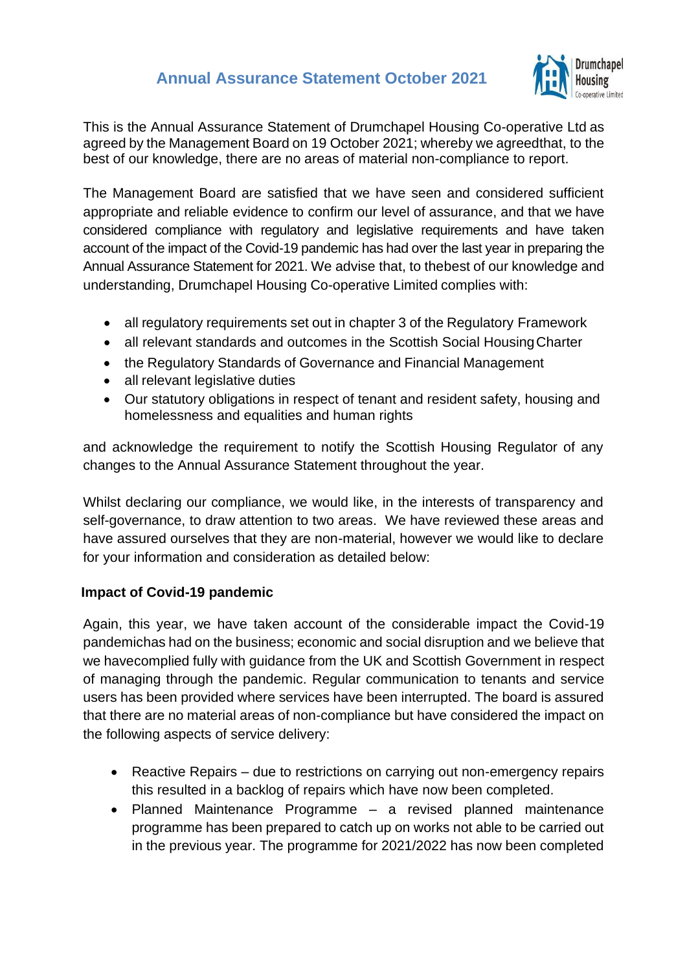## **Annual Assurance Statement October 2021**



This is the Annual Assurance Statement of Drumchapel Housing Co-operative Ltd as agreed by the Management Board on 19 October 2021; whereby we agreedthat, to the best of our knowledge, there are no areas of material non-compliance to report.

The Management Board are satisfied that we have seen and considered sufficient appropriate and reliable evidence to confirm our level of assurance, and that we have considered compliance with regulatory and legislative requirements and have taken account of the impact of the Covid-19 pandemic has had over the last year in preparing the Annual Assurance Statement for 2021. We advise that, to thebest of our knowledge and understanding, Drumchapel Housing Co-operative Limited complies with:

- all regulatory requirements set out in chapter 3 of the Regulatory Framework
- all relevant standards and outcomes in the Scottish Social Housing Charter
- the Regulatory Standards of Governance and Financial Management
- all relevant legislative duties
- Our statutory obligations in respect of tenant and resident safety, housing and homelessness and equalities and human rights

and acknowledge the requirement to notify the Scottish Housing Regulator of any changes to the Annual Assurance Statement throughout the year.

Whilst declaring our compliance, we would like, in the interests of transparency and self-governance, to draw attention to two areas. We have reviewed these areas and have assured ourselves that they are non-material, however we would like to declare for your information and consideration as detailed below:

## **Impact of Covid-19 pandemic**

Again, this year, we have taken account of the considerable impact the Covid-19 pandemichas had on the business; economic and social disruption and we believe that we havecomplied fully with guidance from the UK and Scottish Government in respect of managing through the pandemic. Regular communication to tenants and service users has been provided where services have been interrupted. The board is assured that there are no material areas of non-compliance but have considered the impact on the following aspects of service delivery:

- Reactive Repairs due to restrictions on carrying out non-emergency repairs this resulted in a backlog of repairs which have now been completed.
- Planned Maintenance Programme a revised planned maintenance programme has been prepared to catch up on works not able to be carried out in the previous year. The programme for 2021/2022 has now been completed